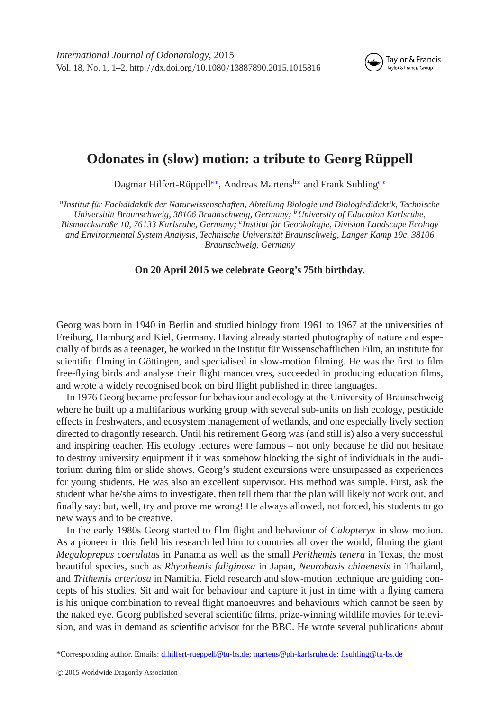

## **Odonates in (slow) motion: a tribute to Georg Rüppell**

Dagmar Hilfert-Rüppell<sup>a[∗](#page-0-1)</sup>, Andreas Martens<sup>[b](#page-0-2)∗</sup> and Frank Suhling<sup>[c](#page-0-3)∗</sup>

<span id="page-0-0"></span>*aInstitut für Fachdidaktik der Naturwissenschaften, Abteilung Biologie und Biologiedidaktik, Technische Universität Braunschweig, 38106 Braunschweig, Germany; bUniversity of Education Karlsruhe, Bismarckstraße 10, 76133 Karlsruhe, Germany; cInstitut für Geoökologie, Division Landscape Ecology and Environmental System Analysis, Technische Universität Braunschweig, Langer Kamp 19c, 38106 Braunschweig, Germany*

## <span id="page-0-3"></span><span id="page-0-2"></span>**On 20 April 2015 we celebrate Georg's 75th birthday.**

Georg was born in 1940 in Berlin and studied biology from 1961 to 1967 at the universities of Freiburg, Hamburg and Kiel, Germany. Having already started photography of nature and especially of birds as a teenager, he worked in the Institut für Wissenschaftlichen Film, an institute for scientific filming in Göttingen, and specialised in slow-motion filming. He was the first to film free-flying birds and analyse their flight manoeuvres, succeeded in producing education films, and wrote a widely recognised book on bird flight published in three languages.

In 1976 Georg became professor for behaviour and ecology at the University of Braunschweig where he built up a multifarious working group with several sub-units on fish ecology, pesticide effects in freshwaters, and ecosystem management of wetlands, and one especially lively section directed to dragonfly research. Until his retirement Georg was (and still is) also a very successful and inspiring teacher. His ecology lectures were famous – not only because he did not hesitate to destroy university equipment if it was somehow blocking the sight of individuals in the auditorium during film or slide shows. Georg's student excursions were unsurpassed as experiences for young students. He was also an excellent supervisor. His method was simple. First, ask the student what he/she aims to investigate, then tell them that the plan will likely not work out, and finally say: but, well, try and prove me wrong! He always allowed, not forced, his students to go new ways and to be creative.

In the early 1980s Georg started to film flight and behaviour of *Calopteryx* in slow motion. As a pioneer in this field his research led him to countries all over the world, filming the giant *Megaloprepus coerulatus* in Panama as well as the small *Perithemis tenera* in Texas, the most beautiful species, such as *Rhyothemis fuliginosa* in Japan, *Neurobasis chinenesis* in Thailand, and *Trithemis arteriosa* in Namibia. Field research and slow-motion technique are guiding concepts of his studies. Sit and wait for behaviour and capture it just in time with a flying camera is his unique combination to reveal flight manoeuvres and behaviours which cannot be seen by the naked eye. Georg published several scientific films, prize-winning wildlife movies for television, and was in demand as scientific advisor for the BBC. He wrote several publications about

<span id="page-0-1"></span><sup>\*</sup>Corresponding author. Emails: [d.hilfert-rueppell@tu-bs.de;](mailto:d.hilfert-rueppell@tu-bs.de) [martens@ph-karlsruhe.de;](mailto:martens@ph-karlsruhe.de) [f.suhling@tu-bs.de](mailto:f.suhling@tu-bs.de)